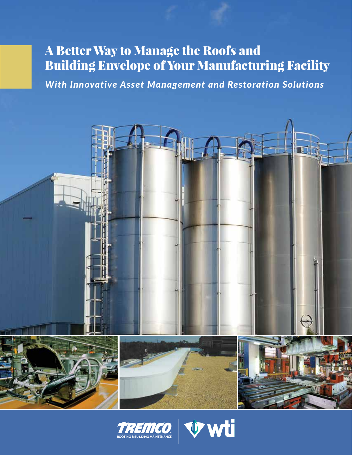# A Better Way to Manage the Roofs and Building Envelope of Your Manufacturing Facility

*With Innovative Asset Management and Restoration Solutions*





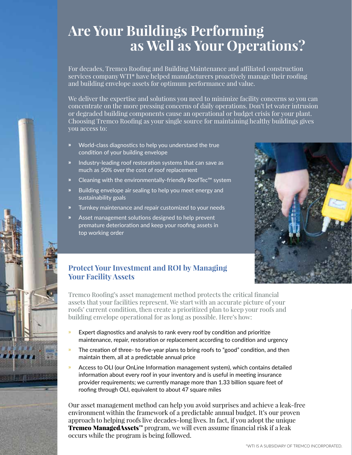# **Are Your Buildings Performing as Well as Your Operations?**

For decades, Tremco Roofing and Building Maintenance and affiliated construction services company WTI\* have helped manufacturers proactively manage their roofing and building envelope assets for optimum performance and value.

We deliver the expertise and solutions you need to minimize facility concerns so you can concentrate on the more pressing concerns of daily operations. Don't let water intrusion or degraded building components cause an operational or budget crisis for your plant. Choosing Tremco Roofing as your single source for maintaining healthy buildings gives you access to:

- » World-class diagnostics to help you understand the true condition of your building envelope
- » Industry-leading roof restoration systems that can save as much as 50% over the cost of roof replacement
- Cleaning with the environmentally-friendly RoofTec™ system
- » Building envelope air sealing to help you meet energy and sustainability goals
- » Turnkey maintenance and repair customized to your needs
- Asset management solutions designed to help prevent premature deterioration and keep your roofing assets in top working order



## **Protect Your Investment and ROI by Managing Your Facility Assets**

2003333333333

**THE REAL PROPERTY OF PERSON** 

Tremco Roofing's asset management method protects the critical financial assets that your facilities represent. We start with an accurate picture of your roofs' current condition, then create a prioritized plan to keep your roofs and building envelope operational for as long as possible. Here's how:

- Expert diagnostics and analysis to rank every roof by condition and prioritize maintenance, repair, restoration or replacement according to condition and urgency
- The creation of three- to five-year plans to bring roofs to "good" condition, and then maintain them, all at a predictable annual price
- » Access to OLI (our OnLine Information management system), which contains detailed information about every roof in your inventory and is useful in meeting insurance provider requirements; we currently manage more than 1.33 billion square feet of roofing through OLI, equivalent to about 47 square miles

Our asset management method can help you avoid surprises and achieve a leak-free environment within the framework of a predictable annual budget. It's our proven approach to helping roofs live decades-long lives. In fact, if you adopt the unique Tremco ManagedAssets<sup>™</sup> program, we will even assume financial risk if a leak occurs while the program is being followed.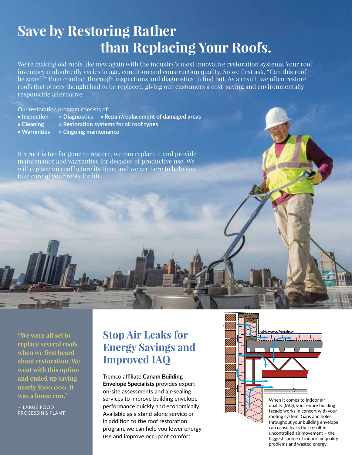# **Save by Restoring Rather than Replacing Your Roofs.**

We're making old roofs like new again with the industry's most innovative restoration systems. Your roof inventory undoubtedly varies in age, condition and construction quality. So we first ask, "Can this roof be saved?" then conduct thorough inspections and diagnostics to find out. As a result, we often restore roofs that others thought had to be replaced, giving our customers a cost-saving and environmentallyresponsible alternative.

Our restoration program consists of:

- » **Inspection** » **Diagnostics** » **Repair/replacement of damaged areas**
- 
- » **Cleaning** » **Restoration systems for all roof types**
- » **Warranties** » **Ongoing maintenance**

If a roof is too far gone to restore, we can replace it and provide maintenance and warranties for decades of productive use. We will replace no roof before its time, and we are here to help you take care of your roofs for life.

**"We were all set to replace several roofs when we first heard about restoration. We went with this option and ended up saving nearly \$300,000. It was a home run."**

— LARGE FOOD PROCESSING PLANT

## **Stop Air Leaks for Energy Savings and Improved IAQ**

### Tremco affiliate **Canam Building**

**Envelope Specialists** provides expert on-site assessments and air-sealing services to improve building envelope performance quickly and economically. Available as a stand-alone service or in addition to the roof restoration program, we can help you lower energy use and improve occupant comfort.

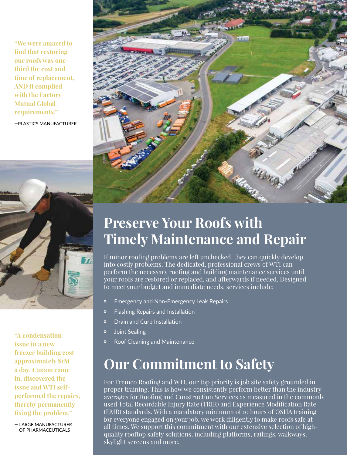**"We were amazed to find that restoring our roofs was onethird the cost and time of replacement, AND it complied with the Factory Mutual Global requirements."**

—PLASTICS MANUFACTURER



**"A condensation issue in a new freezer building cost approximately \$1M a day. Canam came in, discovered the issue and WTI selfperformed the repairs, thereby permanently fixing the problem."** 

— LARGE MANUFACTURER OF PHARMACEUTICALS



# **Preserve Your Roofs with Timely Maintenance and Repair**

If minor roofing problems are left unchecked, they can quickly develop into costly problems. The dedicated, professional crews of WTI can perform the necessary roofing and building maintenance services until your roofs are restored or replaced, and afterwards if needed. Designed to meet your budget and immediate needs, services include:

- » Emergency and Non-Emergency Leak Repairs
- » Flashing Repairs and Installation
- » Drain and Curb Installation
- » Joint Sealing
- » Roof Cleaning and Maintenance

# **Our Commitment to Safety**

For Tremco Roofing and WTI, our top priority is job site safety grounded in proper training. This is how we consistently perform better than the industry averages for Roofing and Construction Services as measured in the commonly used Total Recordable Injury Rate (TRIR) and Experience Modification Rate (EMR) standards. With a mandatory minimum of 10 hours of OSHA training for everyone engaged on your job, we work diligently to make roofs safe at all times. We support this commitment with our extensive selection of highquality rooftop safety solutions, including platforms, railings, walkways, skylight screens and more.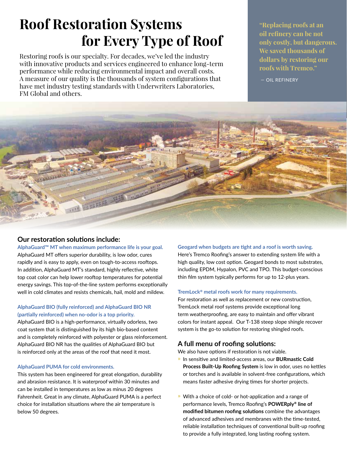# **Roof Restoration Systems for Every Type of Roof**

Restoring roofs is our specialty. For decades, we've led the industry with innovative products and services engineered to enhance long-term performance while reducing environmental impact and overall costs. A measure of our quality is the thousands of system configurations that have met industry testing standards with Underwriters Laboratories, FM Global and others.

**"Replacing roofs at an oil refinery can be not only costly, but dangerous. We saved thousands of dollars by restoring our roofs with Tremco."** 

— OIL REFINERY



## **Our restoration solutions include:**

### **AlphaGuard™ MT when maximum performance life is your goal.**

AlphaGuard MT offers superior durability, is low odor, cures rapidly and is easy to apply, even on tough-to-access rooftops. In addition, AlphaGuard MT's standard, highly reflective, white top coat color can help lower rooftop temperatures for potential energy savings. This top-of-the-line system performs exceptionally well in cold climates and resists chemicals, hail, mold and mildew.

### **AlphaGuard BIO (fully reinforced) and AlphaGuard BIO NR (partially reinforced) when no-odor is a top priority.**

AlphaGuard BIO is a high-performance, virtually odorless, two coat system that is distinguished by its high bio-based content and is completely reinforced with polyester or glass reinforcement. AlphaGuard BIO NR has the qualities of AlphaGuard BIO but is reinforced only at the areas of the roof that need it most.

### **AlphaGuard PUMA for cold environments.**

This system has been engineered for great elongation, durability and abrasion resistance. It is waterproof within 30 minutes and can be installed in temperatures as low as minus 20 degrees Fahrenheit. Great in any climate, AlphaGuard PUMA is a perfect choice for installation situations where the air temperature is below 50 degrees.

### **Geogard when budgets are tight and a roof is worth saving.**

Here's Tremco Roofing's answer to extending system life with a high quality, low cost option. Geogard bonds to most substrates, including EPDM, Hypalon, PVC and TPO. This budget-conscious thin film system typically performs for up to 12-plus years.

### **TremLock® metal roofs work for many requirements.**

For restoration as well as replacement or new construction, TremLock metal roof systems provide exceptional long term weatherproofing, are easy to maintain and offer vibrant colors for instant appeal. Our T-138 steep slope shingle recover system is the go-to solution for restoring shingled roofs.

### **A full menu of roofing solutions:**

We also have options if restoration is not viable.

- » In sensitive and limited-access areas, our **BURmastic Cold Process Built-Up Roofing System** is low in odor, uses no kettles or torches and is available in solvent-free configurations, which means faster adhesive drying times for shorter projects.
- » With a choice of cold- or hot-application and a range of performance levels, Tremco Roofing's **POWERply® line of modified bitumen roofing solutions** combine the advantages of advanced adhesives and membranes with the time-tested, reliable installation techniques of conventional built-up roofing to provide a fully integrated, long lasting roofing system.